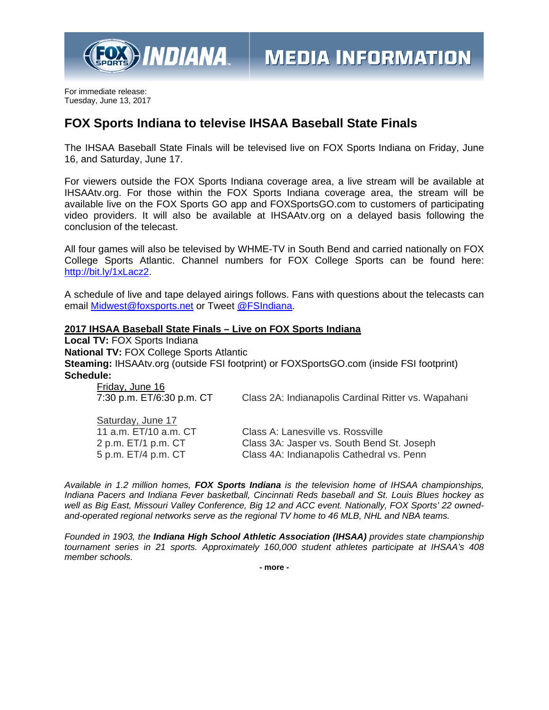

For immediate release: Tuesday, June 13, 2017

## **FOX Sports Indiana to televise IHSAA Baseball State Finals**

The IHSAA Baseball State Finals will be televised live on FOX Sports Indiana on Friday, June 16, and Saturday, June 17.

For viewers outside the FOX Sports Indiana coverage area, a live stream will be available at IHSAAtv.org. For those within the FOX Sports Indiana coverage area, the stream will be available live on the FOX Sports GO app and FOXSportsGO.com to customers of participating video providers. It will also be available at IHSAAtv.org on a delayed basis following the conclusion of the telecast.

All four games will also be televised by WHME-TV in South Bend and carried nationally on FOX College Sports Atlantic. Channel numbers for FOX College Sports can be found here: http://bit.ly/1xLacz2.

A schedule of live and tape delayed airings follows. Fans with questions about the telecasts can email Midwest@foxsports.net or Tweet @FSIndiana.

## **2017 IHSAA Baseball State Finals – Live on FOX Sports Indiana**

**Local TV:** FOX Sports Indiana **National TV:** FOX College Sports Atlantic **Steaming:** IHSAAtv.org (outside FSI footprint) or FOXSportsGO.com (inside FSI footprint) **Schedule:** 

| Friday, June 16<br>7:30 p.m. ET/6:30 p.m. CT | Class 2A: Indianapolis Cardinal Ritter vs. Wapahani |
|----------------------------------------------|-----------------------------------------------------|
| Saturday, June 17                            |                                                     |
| 11 a.m. ET/10 a.m. CT                        | Class A: Lanesville vs. Rossville                   |
| 2 p.m. ET/1 p.m. CT                          | Class 3A: Jasper vs. South Bend St. Joseph          |
| 5 p.m. ET/4 p.m. CT                          | Class 4A: Indianapolis Cathedral vs. Penn           |

*Available in 1.2 million homes, FOX Sports Indiana is the television home of IHSAA championships, Indiana Pacers and Indiana Fever basketball, Cincinnati Reds baseball and St. Louis Blues hockey as well as Big East, Missouri Valley Conference, Big 12 and ACC event. Nationally, FOX Sports' 22 ownedand-operated regional networks serve as the regional TV home to 46 MLB, NHL and NBA teams.* 

*Founded in 1903, the Indiana High School Athletic Association (IHSAA) provides state championship tournament series in 21 sports. Approximately 160,000 student athletes participate at IHSAA's 408 member schools.*

**- more -**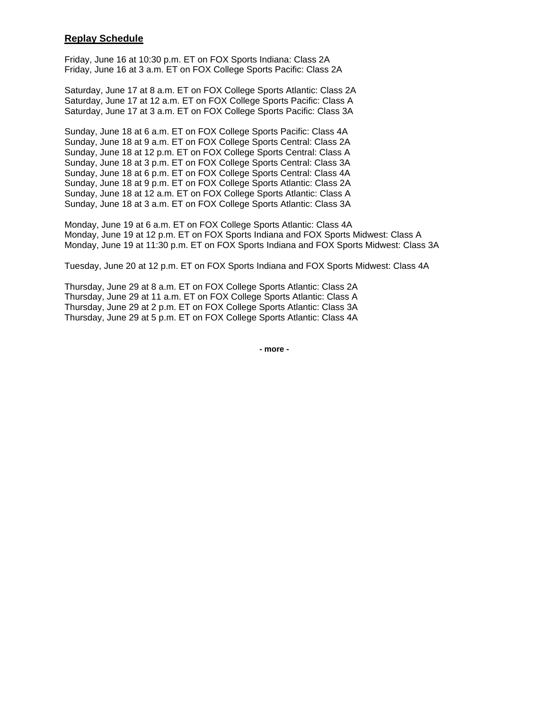## **Replay Schedule**

Friday, June 16 at 10:30 p.m. ET on FOX Sports Indiana: Class 2A Friday, June 16 at 3 a.m. ET on FOX College Sports Pacific: Class 2A

Saturday, June 17 at 8 a.m. ET on FOX College Sports Atlantic: Class 2A Saturday, June 17 at 12 a.m. ET on FOX College Sports Pacific: Class A Saturday, June 17 at 3 a.m. ET on FOX College Sports Pacific: Class 3A

Sunday, June 18 at 6 a.m. ET on FOX College Sports Pacific: Class 4A Sunday, June 18 at 9 a.m. ET on FOX College Sports Central: Class 2A Sunday, June 18 at 12 p.m. ET on FOX College Sports Central: Class A Sunday, June 18 at 3 p.m. ET on FOX College Sports Central: Class 3A Sunday, June 18 at 6 p.m. ET on FOX College Sports Central: Class 4A Sunday, June 18 at 9 p.m. ET on FOX College Sports Atlantic: Class 2A Sunday, June 18 at 12 a.m. ET on FOX College Sports Atlantic: Class A Sunday, June 18 at 3 a.m. ET on FOX College Sports Atlantic: Class 3A

Monday, June 19 at 6 a.m. ET on FOX College Sports Atlantic: Class 4A Monday, June 19 at 12 p.m. ET on FOX Sports Indiana and FOX Sports Midwest: Class A Monday, June 19 at 11:30 p.m. ET on FOX Sports Indiana and FOX Sports Midwest: Class 3A

Tuesday, June 20 at 12 p.m. ET on FOX Sports Indiana and FOX Sports Midwest: Class 4A

Thursday, June 29 at 8 a.m. ET on FOX College Sports Atlantic: Class 2A Thursday, June 29 at 11 a.m. ET on FOX College Sports Atlantic: Class A Thursday, June 29 at 2 p.m. ET on FOX College Sports Atlantic: Class 3A Thursday, June 29 at 5 p.m. ET on FOX College Sports Atlantic: Class 4A

**- more -**